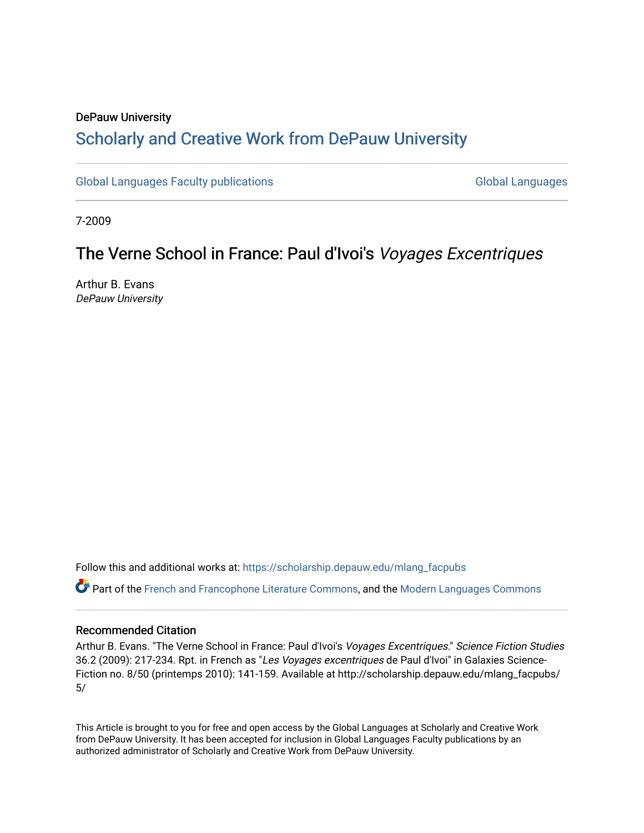# DePauw University Scholarly and [Creative Work from DePauw Univ](https://scholarship.depauw.edu/)ersity

[Global Languages Faculty publications](https://scholarship.depauw.edu/mlang_facpubs) [Global Languages](https://scholarship.depauw.edu/modernlanguages) Global Languages

7-2009

# The Verne School in France: Paul d'Ivoi's Voyages Excentriques

Arthur B. Evans DePauw University

Follow this and additional works at: [https://scholarship.depauw.edu/mlang\\_facpubs](https://scholarship.depauw.edu/mlang_facpubs?utm_source=scholarship.depauw.edu%2Fmlang_facpubs%2F5&utm_medium=PDF&utm_campaign=PDFCoverPages)

Part of the [French and Francophone Literature Commons,](https://network.bepress.com/hgg/discipline/465?utm_source=scholarship.depauw.edu%2Fmlang_facpubs%2F5&utm_medium=PDF&utm_campaign=PDFCoverPages) and the [Modern Languages Commons](https://network.bepress.com/hgg/discipline/1130?utm_source=scholarship.depauw.edu%2Fmlang_facpubs%2F5&utm_medium=PDF&utm_campaign=PDFCoverPages) 

## Recommended Citation

Arthur B. Evans. "The Verne School in France: Paul d'Ivoi's Voyages Excentriques." Science Fiction Studies 36.2 (2009): 217-234. Rpt. in French as "Les Voyages excentriques de Paul d'Ivoi" in Galaxies Science-Fiction no. 8/50 (printemps 2010): 141-159. Available at http://scholarship.depauw.edu/mlang\_facpubs/ 5/

This Article is brought to you for free and open access by the Global Languages at Scholarly and Creative Work from DePauw University. It has been accepted for inclusion in Global Languages Faculty publications by an authorized administrator of Scholarly and Creative Work from DePauw University.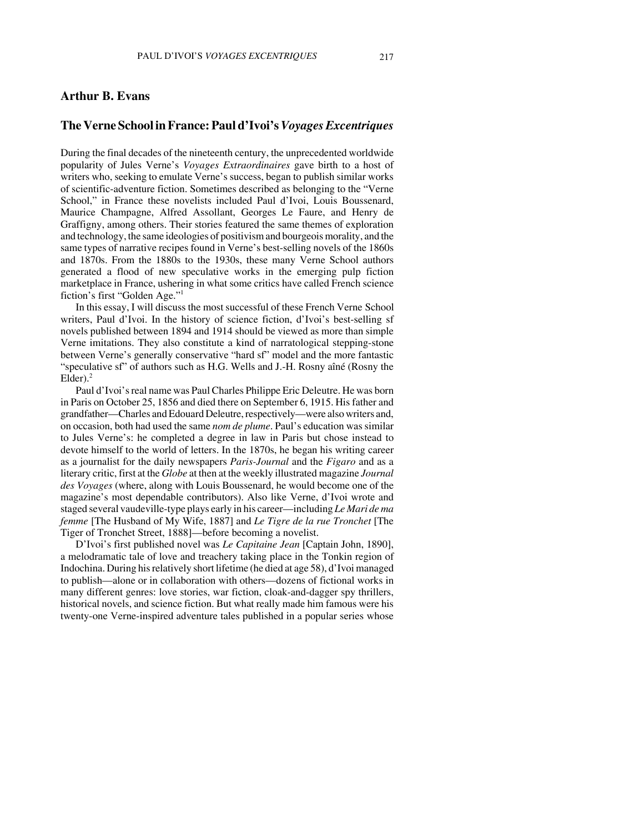## **Arthur B. Evans**

## **The Verne School in France: Paul d'Ivoi's** *Voyages Excentriques*

During the final decades of the nineteenth century, the unprecedented worldwide popularity of Jules Verne's *Voyages Extraordinaires* gave birth to a host of writers who, seeking to emulate Verne's success, began to publish similar works of scientific-adventure fiction. Sometimes described as belonging to the "Verne School," in France these novelists included Paul d'Ivoi, Louis Boussenard, Maurice Champagne, Alfred Assollant, Georges Le Faure, and Henry de Graffigny, among others. Their stories featured the same themes of exploration and technology, the same ideologies of positivism and bourgeois morality, and the same types of narrative recipes found in Verne's best-selling novels of the 1860s and 1870s. From the 1880s to the 1930s, these many Verne School authors generated a flood of new speculative works in the emerging pulp fiction marketplace in France, ushering in what some critics have called French science fiction's first "Golden Age."1

 In this essay, I will discuss the most successful of these French Verne School writers, Paul d'Ivoi. In the history of science fiction, d'Ivoi's best-selling sf novels published between 1894 and 1914 should be viewed as more than simple Verne imitations. They also constitute a kind of narratological stepping-stone between Verne's generally conservative "hard sf" model and the more fantastic "speculative sf" of authors such as H.G. Wells and J.-H. Rosny aîné (Rosny the  $Elder$ ).<sup>2</sup>

Paul d'Ivoi's real name was Paul Charles Philippe Eric Deleutre. He was born in Paris on October 25, 1856 and died there on September 6, 1915. His father and grandfather—Charles and Edouard Deleutre, respectively—were also writers and, on occasion, both had used the same *nom de plume*. Paul's education was similar to Jules Verne's: he completed a degree in law in Paris but chose instead to devote himself to the world of letters. In the 1870s, he began his writing career as a journalist for the daily newspapers *Paris-Journal* and the *Figaro* and as a literary critic, first at the *Globe* at then at the weekly illustrated magazine *Journal des Voyages* (where, along with Louis Boussenard, he would become one of the magazine's most dependable contributors). Also like Verne, d'Ivoi wrote and staged several vaudeville-type plays early in his career—including *Le Mari de ma femme* [The Husband of My Wife, 1887] and *Le Tigre de la rue Tronchet* [The Tiger of Tronchet Street, 1888]—before becoming a novelist.

D'Ivoi's first published novel was *Le Capitaine Jean* [Captain John, 1890], a melodramatic tale of love and treachery taking place in the Tonkin region of Indochina. During his relatively short lifetime (he died at age 58), d'Ivoi managed to publish—alone or in collaboration with others—dozens of fictional works in many different genres: love stories, war fiction, cloak-and-dagger spy thrillers, historical novels, and science fiction. But what really made him famous were his twenty-one Verne-inspired adventure tales published in a popular series whose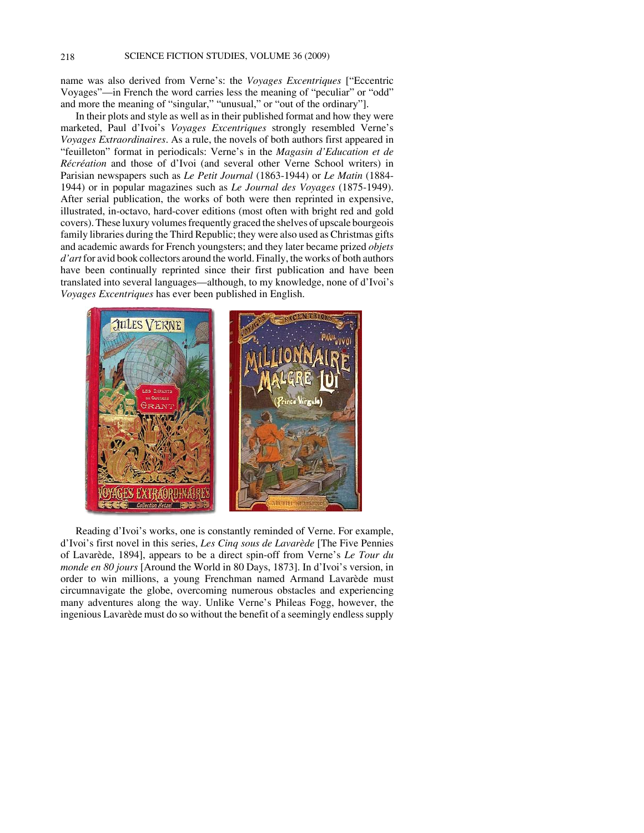name was also derived from Verne's: the *Voyages Excentriques* ["Eccentric Voyages"—in French the word carries less the meaning of "peculiar" or "odd" and more the meaning of "singular," "unusual," or "out of the ordinary"].

In their plots and style as well as in their published format and how they were marketed, Paul d'Ivoi's *Voyages Excentriques* strongly resembled Verne's *Voyages Extraordinaires*. As a rule, the novels of both authors first appeared in "feuilleton" format in periodicals: Verne's in the *Magasin d'Education et de Récréation* and those of d'Ivoi (and several other Verne School writers) in Parisian newspapers such as *Le Petit Journal* (1863-1944) or *Le Matin* (1884- 1944) or in popular magazines such as *Le Journal des Voyages* (1875-1949). After serial publication, the works of both were then reprinted in expensive, illustrated, in-octavo, hard-cover editions (most often with bright red and gold covers). These luxury volumes frequently graced the shelves of upscale bourgeois family libraries during the Third Republic; they were also used as Christmas gifts and academic awards for French youngsters; and they later became prized *objets d'art* for avid book collectors around the world. Finally, the works of both authors have been continually reprinted since their first publication and have been translated into several languages—although, to my knowledge, none of d'Ivoi's *Voyages Excentriques* has ever been published in English.



Reading d'Ivoi's works, one is constantly reminded of Verne. For example, d'Ivoi's first novel in this series, *Les Cinq sous de Lavarède* [The Five Pennies of Lavarède, 1894], appears to be a direct spin-off from Verne's *Le Tour du monde en 80 jours* [Around the World in 80 Days, 1873]. In d'Ivoi's version, in order to win millions, a young Frenchman named Armand Lavarède must circumnavigate the globe, overcoming numerous obstacles and experiencing many adventures along the way. Unlike Verne's Phileas Fogg, however, the ingenious Lavarède must do so without the benefit of a seemingly endless supply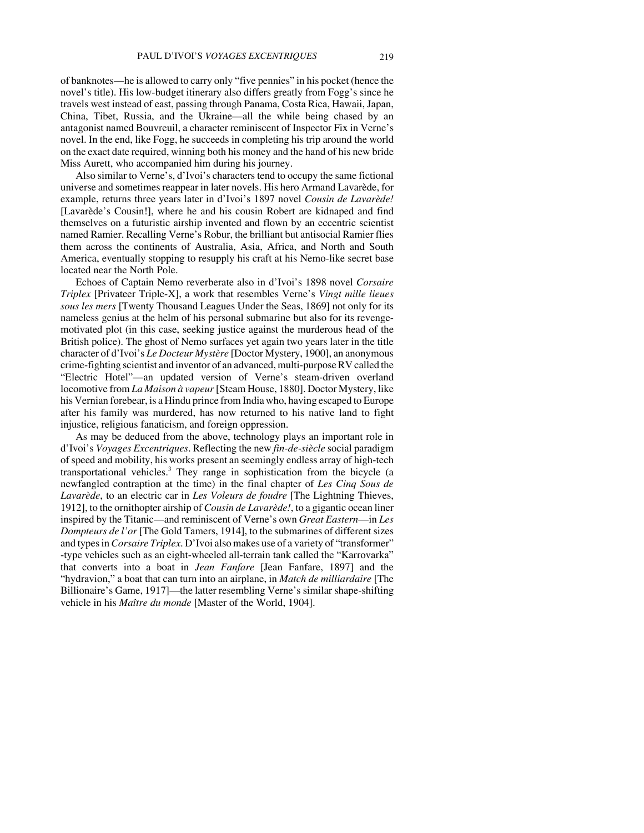of banknotes—he is allowed to carry only "five pennies" in his pocket (hence the novel's title). His low-budget itinerary also differs greatly from Fogg's since he travels west instead of east, passing through Panama, Costa Rica, Hawaii, Japan, China, Tibet, Russia, and the Ukraine—all the while being chased by an antagonist named Bouvreuil, a character reminiscent of Inspector Fix in Verne's novel. In the end, like Fogg, he succeeds in completing his trip around the world on the exact date required, winning both his money and the hand of his new bride Miss Aurett, who accompanied him during his journey.

Also similar to Verne's, d'Ivoi's characters tend to occupy the same fictional universe and sometimes reappear in later novels. His hero Armand Lavarède, for example, returns three years later in d'Ivoi's 1897 novel *Cousin de Lavarède!* [Lavarède's Cousin!], where he and his cousin Robert are kidnaped and find themselves on a futuristic airship invented and flown by an eccentric scientist named Ramier. Recalling Verne's Robur, the brilliant but antisocial Ramier flies them across the continents of Australia, Asia, Africa, and North and South America, eventually stopping to resupply his craft at his Nemo-like secret base located near the North Pole.

Echoes of Captain Nemo reverberate also in d'Ivoi's 1898 novel *Corsaire Triplex* [Privateer Triple-X], a work that resembles Verne's *Vingt mille lieues sous les mers* [Twenty Thousand Leagues Under the Seas, 1869] not only for its nameless genius at the helm of his personal submarine but also for its revengemotivated plot (in this case, seeking justice against the murderous head of the British police). The ghost of Nemo surfaces yet again two years later in the title character of d'Ivoi's *Le Docteur Mystère* [Doctor Mystery, 1900], an anonymous crime-fighting scientist and inventor of an advanced, multi-purpose RV called the "Electric Hotel"—an updated version of Verne's steam-driven overland locomotive from *La Maison à vapeur* [Steam House, 1880]. Doctor Mystery, like his Vernian forebear, is a Hindu prince from India who, having escaped to Europe after his family was murdered, has now returned to his native land to fight injustice, religious fanaticism, and foreign oppression.

As may be deduced from the above, technology plays an important role in d'Ivoi's *Voyages Excentriques*. Reflecting the new *fin-de-siècle* social paradigm of speed and mobility, his works present an seemingly endless array of high-tech transportational vehicles.<sup>3</sup> They range in sophistication from the bicycle (a newfangled contraption at the time) in the final chapter of *Les Cinq Sous de Lavarède*, to an electric car in *Les Voleurs de foudre* [The Lightning Thieves, 1912], to the ornithopter airship of *Cousin de Lavarède!*, to a gigantic ocean liner inspired by the Titanic—and reminiscent of Verne's own *Great Eastern*—in *Les Dompteurs de l'or* [The Gold Tamers, 1914], to the submarines of different sizes and types in *Corsaire Triplex*. D'Ivoi also makes use of a variety of "transformer" -type vehicles such as an eight-wheeled all-terrain tank called the "Karrovarka" that converts into a boat in *Jean Fanfare* [Jean Fanfare, 1897] and the "hydravion," a boat that can turn into an airplane, in *Match de milliardaire* [The Billionaire's Game, 1917]—the latter resembling Verne's similar shape-shifting vehicle in his *Maître du monde* [Master of the World, 1904].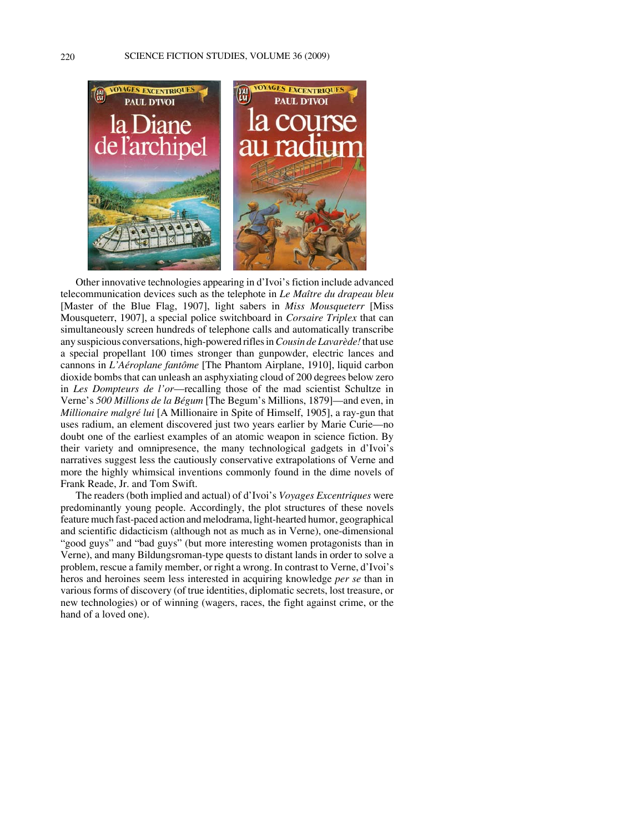

Other innovative technologies appearing in d'Ivoi's fiction include advanced telecommunication devices such as the telephote in *Le Maître du drapeau bleu* [Master of the Blue Flag, 1907], light sabers in *Miss Mousqueterr* [Miss Mousqueterr, 1907], a special police switchboard in *Corsaire Triplex* that can simultaneously screen hundreds of telephone calls and automatically transcribe any suspicious conversations, high-powered rifles in *Cousin de Lavarède!* that use a special propellant 100 times stronger than gunpowder, electric lances and cannons in *L'Aéroplane fantôme* [The Phantom Airplane, 1910], liquid carbon dioxide bombs that can unleash an asphyxiating cloud of 200 degrees below zero in *Les Dompteurs de l'or*—recalling those of the mad scientist Schultze in Verne's *500 Millions de la Bégum* [The Begum's Millions, 1879]—and even, in *Millionaire malgré lui* [A Millionaire in Spite of Himself, 1905], a ray-gun that uses radium, an element discovered just two years earlier by Marie Curie—no doubt one of the earliest examples of an atomic weapon in science fiction. By their variety and omnipresence, the many technological gadgets in d'Ivoi's narratives suggest less the cautiously conservative extrapolations of Verne and more the highly whimsical inventions commonly found in the dime novels of Frank Reade, Jr. and Tom Swift.

The readers (both implied and actual) of d'Ivoi's *Voyages Excentriques* were predominantly young people. Accordingly, the plot structures of these novels feature much fast-paced action and melodrama, light-hearted humor, geographical and scientific didacticism (although not as much as in Verne), one-dimensional "good guys" and "bad guys" (but more interesting women protagonists than in Verne), and many Bildungsroman-type quests to distant lands in order to solve a problem, rescue a family member, or right a wrong. In contrast to Verne, d'Ivoi's heros and heroines seem less interested in acquiring knowledge *per se* than in various forms of discovery (of true identities, diplomatic secrets, lost treasure, or new technologies) or of winning (wagers, races, the fight against crime, or the hand of a loved one).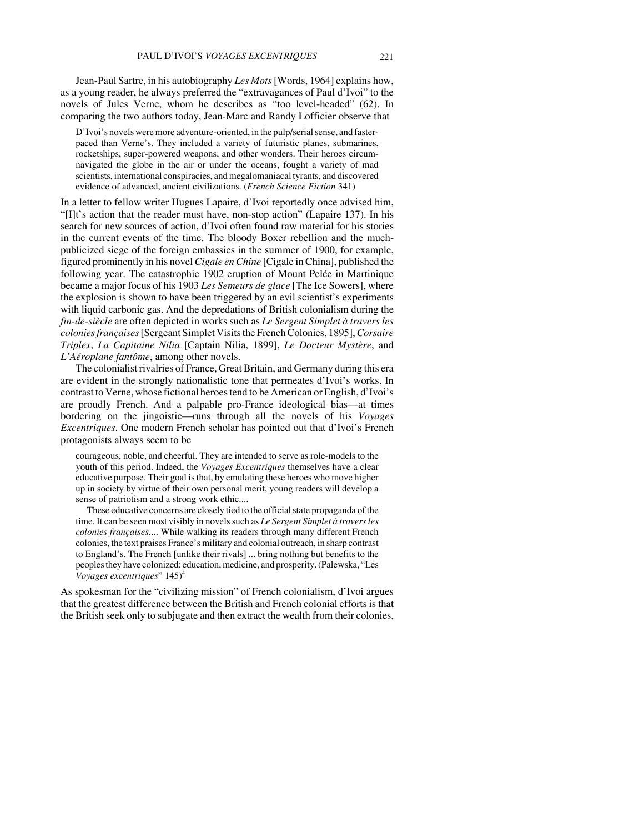Jean-Paul Sartre, in his autobiography *Les Mots* [Words, 1964] explains how, as a young reader, he always preferred the "extravagances of Paul d'Ivoi" to the novels of Jules Verne, whom he describes as "too level-headed" (62). In comparing the two authors today, Jean-Marc and Randy Lofficier observe that

D'Ivoi's novels were more adventure-oriented, in the pulp/serial sense, and fasterpaced than Verne's. They included a variety of futuristic planes, submarines, rocketships, super-powered weapons, and other wonders. Their heroes circumnavigated the globe in the air or under the oceans, fought a variety of mad scientists, international conspiracies, and megalomaniacal tyrants, and discovered evidence of advanced, ancient civilizations. (*French Science Fiction* 341)

In a letter to fellow writer Hugues Lapaire, d'Ivoi reportedly once advised him, "[I]t's action that the reader must have, non-stop action" (Lapaire 137). In his search for new sources of action, d'Ivoi often found raw material for his stories in the current events of the time. The bloody Boxer rebellion and the muchpublicized siege of the foreign embassies in the summer of 1900, for example, figured prominently in his novel *Cigale en Chine* [Cigale in China], published the following year. The catastrophic 1902 eruption of Mount Pelée in Martinique became a major focus of his 1903 *Les Semeurs de glace* [The Ice Sowers], where the explosion is shown to have been triggered by an evil scientist's experiments with liquid carbonic gas. And the depredations of British colonialism during the *fin-de-siècle* are often depicted in works such as *Le Sergent Simplet à travers les colonies françaises* [Sergeant Simplet Visits the French Colonies, 1895], *Corsaire Triplex*, *La Capitaine Nilia* [Captain Nilia, 1899], *Le Docteur Mystère*, and *L'Aéroplane fantôme*, among other novels.

The colonialist rivalries of France, Great Britain, and Germany during this era are evident in the strongly nationalistic tone that permeates d'Ivoi's works. In contrast to Verne, whose fictional heroes tend to be American or English, d'Ivoi's are proudly French. And a palpable pro-France ideological bias—at times bordering on the jingoistic—runs through all the novels of his *Voyages Excentriques*. One modern French scholar has pointed out that d'Ivoi's French protagonists always seem to be

courageous, noble, and cheerful. They are intended to serve as role-models to the youth of this period. Indeed, the *Voyages Excentriques* themselves have a clear educative purpose. Their goal is that, by emulating these heroes who move higher up in society by virtue of their own personal merit, young readers will develop a sense of patriotism and a strong work ethic....

These educative concerns are closely tied to the official state propaganda of the time. It can be seen most visibly in novels such as *Le Sergent Simplet à travers les colonies françaises*.... While walking its readers through many different French colonies, the text praises France's military and colonial outreach, in sharp contrast to England's. The French [unlike their rivals] ... bring nothing but benefits to the peoples they have colonized: education, medicine, and prosperity. (Palewska, "Les *Voyages excentriques*" 145)4

As spokesman for the "civilizing mission" of French colonialism, d'Ivoi argues that the greatest difference between the British and French colonial efforts is that the British seek only to subjugate and then extract the wealth from their colonies,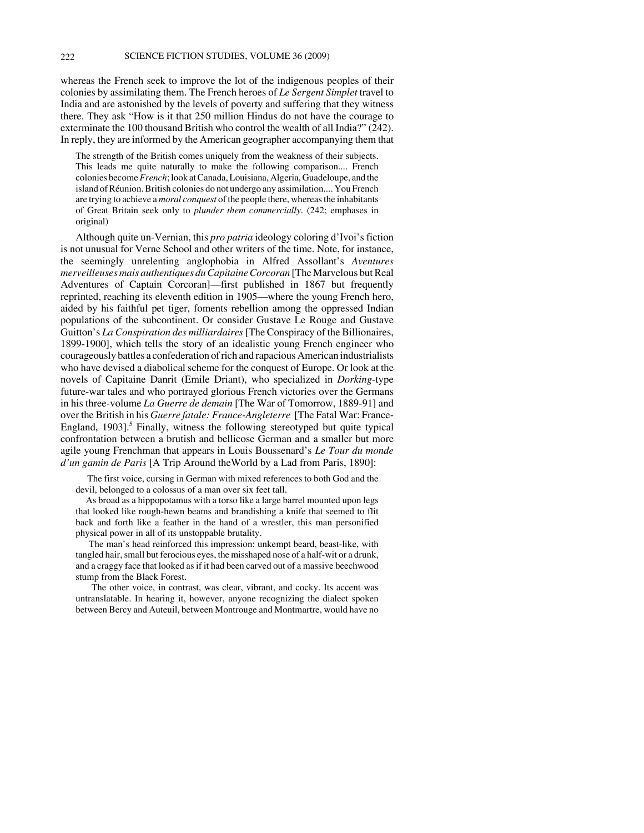whereas the French seek to improve the lot of the indigenous peoples of their colonies by assimilating them. The French heroes of *Le Sergent Simplet* travel to India and are astonished by the levels of poverty and suffering that they witness there. They ask "How is it that 250 million Hindus do not have the courage to exterminate the 100 thousand British who control the wealth of all India?" (242). In reply, they are informed by the American geographer accompanying them that

The strength of the British comes uniquely from the weakness of their subjects. This leads me quite naturally to make the following comparison.... French colonies become *French*; look at Canada, Louisiana, Algeria, Guadeloupe, and the island of Réunion. British colonies do not undergo any assimilation.... You French are trying to achieve a *moral conquest* of the people there, whereas the inhabitants of Great Britain seek only to *plunder them commercially*. (242; emphases in original)

Although quite un-Vernian, this *pro patria* ideology coloring d'Ivoi's fiction is not unusual for Verne School and other writers of the time. Note, for instance, the seemingly unrelenting anglophobia in Alfred Assollant's *Aventures merveilleuses mais authentiques du Capitaine Corcoran* [The Marvelous but Real Adventures of Captain Corcoran]—first published in 1867 but frequently reprinted, reaching its eleventh edition in 1905—where the young French hero, aided by his faithful pet tiger, foments rebellion among the oppressed Indian populations of the subcontinent. Or consider Gustave Le Rouge and Gustave Guitton's *La Conspiration des milliardaires* [The Conspiracy of the Billionaires, 1899-1900], which tells the story of an idealistic young French engineer who courageously battles a confederation of rich and rapacious American industrialists who have devised a diabolical scheme for the conquest of Europe. Or look at the novels of Capitaine Danrit (Emile Driant), who specialized in *Dorking*-type future-war tales and who portrayed glorious French victories over the Germans in his three-volume *La Guerre de demain* [The War of Tomorrow, 1889-91] and over the British in his *Guerre fatale: France-Angleterre* [The Fatal War: France-England, 1903].<sup>5</sup> Finally, witness the following stereotyped but quite typical confrontation between a brutish and bellicose German and a smaller but more agile young Frenchman that appears in Louis Boussenard's *Le Tour du monde d'un gamin de Paris* [A Trip Around theWorld by a Lad from Paris, 1890]:

 The first voice, cursing in German with mixed references to both God and the devil, belonged to a colossus of a man over six feet tall.

 As broad as a hippopotamus with a torso like a large barrel mounted upon legs that looked like rough-hewn beams and brandishing a knife that seemed to flit back and forth like a feather in the hand of a wrestler, this man personified physical power in all of its unstoppable brutality.

 The man's head reinforced this impression: unkempt beard, beast-like, with tangled hair, small but ferocious eyes, the misshaped nose of a half-wit or a drunk, and a craggy face that looked as if it had been carved out of a massive beechwood stump from the Black Forest.

 The other voice, in contrast, was clear, vibrant, and cocky. Its accent was untranslatable. In hearing it, however, anyone recognizing the dialect spoken between Bercy and Auteuil, between Montrouge and Montmartre, would have no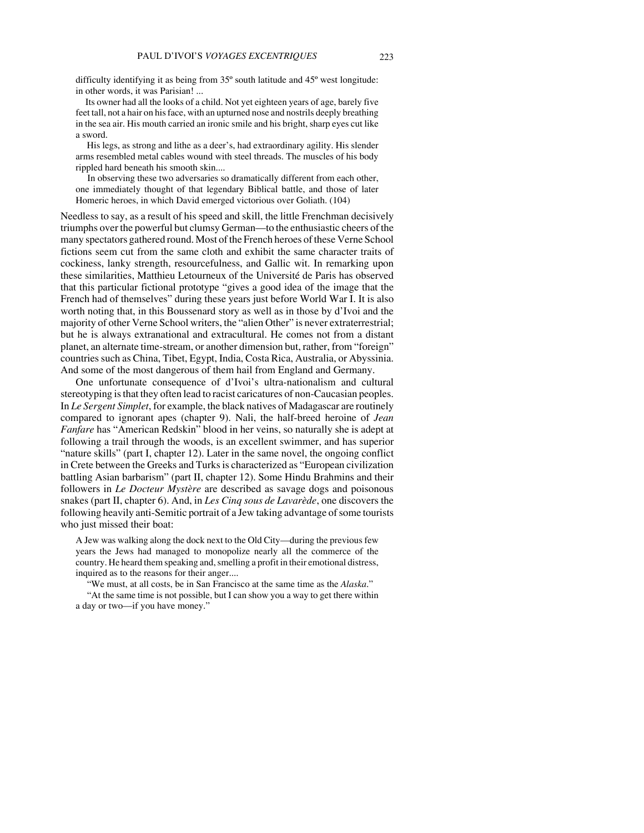difficulty identifying it as being from 35º south latitude and 45º west longitude: in other words, it was Parisian! ...

 Its owner had all the looks of a child. Not yet eighteen years of age, barely five feet tall, not a hair on his face, with an upturned nose and nostrils deeply breathing in the sea air. His mouth carried an ironic smile and his bright, sharp eyes cut like a sword.

 His legs, as strong and lithe as a deer's, had extraordinary agility. His slender arms resembled metal cables wound with steel threads. The muscles of his body rippled hard beneath his smooth skin....

 In observing these two adversaries so dramatically different from each other, one immediately thought of that legendary Biblical battle, and those of later Homeric heroes, in which David emerged victorious over Goliath. (104)

Needless to say, as a result of his speed and skill, the little Frenchman decisively triumphs over the powerful but clumsy German—to the enthusiastic cheers of the many spectators gathered round. Most of the French heroes of these Verne School fictions seem cut from the same cloth and exhibit the same character traits of cockiness, lanky strength, resourcefulness, and Gallic wit. In remarking upon these similarities, Matthieu Letourneux of the Université de Paris has observed that this particular fictional prototype "gives a good idea of the image that the French had of themselves" during these years just before World War I. It is also worth noting that, in this Boussenard story as well as in those by d'Ivoi and the majority of other Verne School writers, the "alien Other" is never extraterrestrial; but he is always extranational and extracultural. He comes not from a distant planet, an alternate time-stream, or another dimension but, rather, from "foreign" countries such as China, Tibet, Egypt, India, Costa Rica, Australia, or Abyssinia. And some of the most dangerous of them hail from England and Germany.

One unfortunate consequence of d'Ivoi's ultra-nationalism and cultural stereotyping is that they often lead to racist caricatures of non-Caucasian peoples. In *Le Sergent Simplet*, for example, the black natives of Madagascar are routinely compared to ignorant apes (chapter 9). Nali, the half-breed heroine of *Jean Fanfare* has "American Redskin" blood in her veins, so naturally she is adept at following a trail through the woods, is an excellent swimmer, and has superior "nature skills" (part I, chapter 12). Later in the same novel, the ongoing conflict in Crete between the Greeks and Turks is characterized as "European civilization battling Asian barbarism" (part II, chapter 12). Some Hindu Brahmins and their followers in *Le Docteur Mystère* are described as savage dogs and poisonous snakes (part II, chapter 6). And, in *Les Cinq sous de Lavarède*, one discovers the following heavily anti-Semitic portrait of a Jew taking advantage of some tourists who just missed their boat:

A Jew was walking along the dock next to the Old City—during the previous few years the Jews had managed to monopolize nearly all the commerce of the country. He heard them speaking and, smelling a profit in their emotional distress, inquired as to the reasons for their anger....

"We must, at all costs, be in San Francisco at the same time as the *Alaska*." "At the same time is not possible, but I can show you a way to get there within a day or two—if you have money."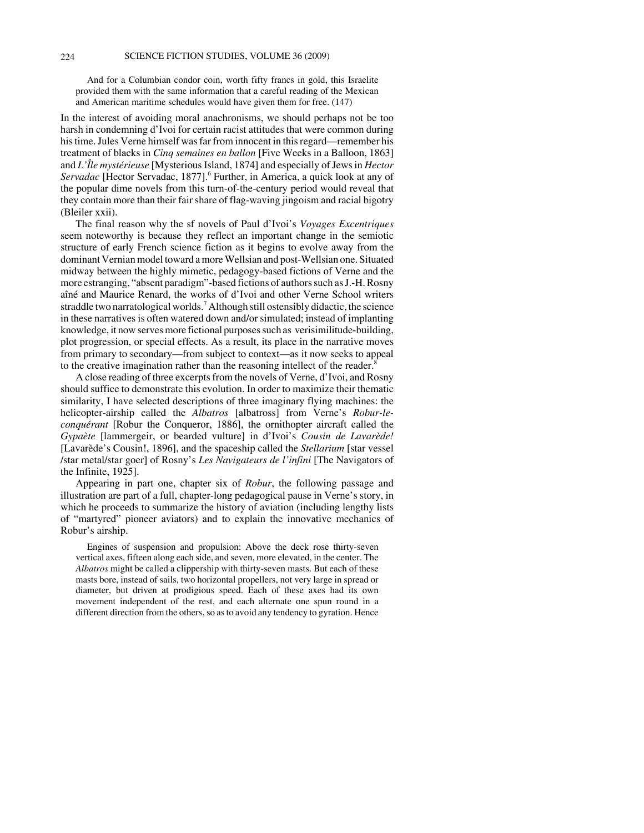And for a Columbian condor coin, worth fifty francs in gold, this Israelite provided them with the same information that a careful reading of the Mexican and American maritime schedules would have given them for free. (147)

In the interest of avoiding moral anachronisms, we should perhaps not be too harsh in condemning d'Ivoi for certain racist attitudes that were common during his time. Jules Verne himself was far from innocent in this regard—remember his treatment of blacks in *Cinq semaines en ballon* [Five Weeks in a Balloon, 1863] and *L'Île mystérieuse* [Mysterious Island, 1874] and especially of Jews in *Hector* Servadac [Hector Servadac, 1877].<sup>6</sup> Further, in America, a quick look at any of the popular dime novels from this turn-of-the-century period would reveal that they contain more than their fair share of flag-waving jingoism and racial bigotry (Bleiler xxii).

The final reason why the sf novels of Paul d'Ivoi's *Voyages Excentriques* seem noteworthy is because they reflect an important change in the semiotic structure of early French science fiction as it begins to evolve away from the dominant Vernian model toward a more Wellsian and post-Wellsian one. Situated midway between the highly mimetic, pedagogy-based fictions of Verne and the more estranging, "absent paradigm"-based fictions of authors such as J.-H. Rosny aîné and Maurice Renard, the works of d'Ivoi and other Verne School writers straddle two narratological worlds.<sup>7</sup> Although still ostensibly didactic, the science in these narratives is often watered down and/or simulated; instead of implanting knowledge, it now serves more fictional purposes such as verisimilitude-building, plot progression, or special effects. As a result, its place in the narrative moves from primary to secondary—from subject to context—as it now seeks to appeal to the creative imagination rather than the reasoning intellect of the reader.<sup>8</sup>

A close reading of three excerpts from the novels of Verne, d'Ivoi, and Rosny should suffice to demonstrate this evolution. In order to maximize their thematic similarity, I have selected descriptions of three imaginary flying machines: the helicopter-airship called the *Albatros* [albatross] from Verne's *Robur-leconquérant* [Robur the Conqueror, 1886], the ornithopter aircraft called the *Gypaète* [lammergeir, or bearded vulture] in d'Ivoi's *Cousin de Lavarède!* [Lavarède's Cousin!, 1896], and the spaceship called the *Stellarium* [star vessel /star metal/star goer] of Rosny's *Les Navigateurs de l'infini* [The Navigators of the Infinite, 1925].

Appearing in part one, chapter six of *Robur*, the following passage and illustration are part of a full, chapter-long pedagogical pause in Verne's story, in which he proceeds to summarize the history of aviation (including lengthy lists of "martyred" pioneer aviators) and to explain the innovative mechanics of Robur's airship.

Engines of suspension and propulsion: Above the deck rose thirty-seven vertical axes, fifteen along each side, and seven, more elevated, in the center. The *Albatros* might be called a clippership with thirty-seven masts. But each of these masts bore, instead of sails, two horizontal propellers, not very large in spread or diameter, but driven at prodigious speed. Each of these axes had its own movement independent of the rest, and each alternate one spun round in a different direction from the others, so as to avoid any tendency to gyration. Hence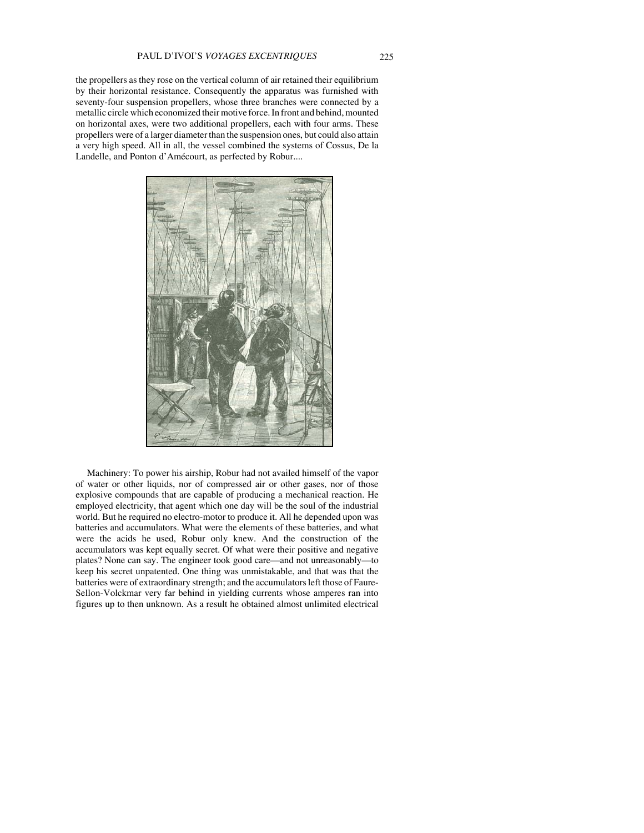the propellers as they rose on the vertical column of air retained their equilibrium by their horizontal resistance. Consequently the apparatus was furnished with seventy-four suspension propellers, whose three branches were connected by a metallic circle which economized their motive force. In front and behind, mounted on horizontal axes, were two additional propellers, each with four arms. These propellers were of a larger diameter than the suspension ones, but could also attain a very high speed. All in all, the vessel combined the systems of Cossus, De la Landelle, and Ponton d'Amécourt, as perfected by Robur....



Machinery: To power his airship, Robur had not availed himself of the vapor of water or other liquids, nor of compressed air or other gases, nor of those explosive compounds that are capable of producing a mechanical reaction. He employed electricity, that agent which one day will be the soul of the industrial world. But he required no electro-motor to produce it. All he depended upon was batteries and accumulators. What were the elements of these batteries, and what were the acids he used, Robur only knew. And the construction of the accumulators was kept equally secret. Of what were their positive and negative plates? None can say. The engineer took good care—and not unreasonably—to keep his secret unpatented. One thing was unmistakable, and that was that the batteries were of extraordinary strength; and the accumulators left those of Faure-Sellon-Volckmar very far behind in yielding currents whose amperes ran into figures up to then unknown. As a result he obtained almost unlimited electrical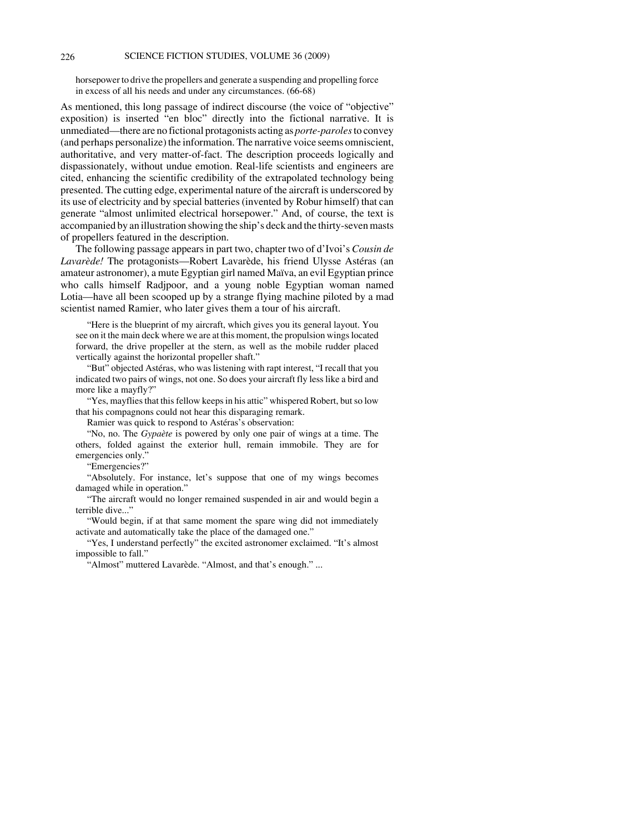### 226 SCIENCE FICTION STUDIES, VOLUME 36 (2009)

horsepower to drive the propellers and generate a suspending and propelling force in excess of all his needs and under any circumstances. (66-68)

As mentioned, this long passage of indirect discourse (the voice of "objective" exposition) is inserted "en bloc" directly into the fictional narrative. It is unmediated—there are no fictional protagonists acting as *porte-paroles* to convey (and perhaps personalize) the information. The narrative voice seems omniscient, authoritative, and very matter-of-fact. The description proceeds logically and dispassionately, without undue emotion. Real-life scientists and engineers are cited, enhancing the scientific credibility of the extrapolated technology being presented. The cutting edge, experimental nature of the aircraft is underscored by its use of electricity and by special batteries (invented by Robur himself) that can generate "almost unlimited electrical horsepower." And, of course, the text is accompanied by an illustration showing the ship's deck and the thirty-seven masts of propellers featured in the description.

The following passage appears in part two, chapter two of d'Ivoi's *Cousin de Lavarède!* The protagonists—Robert Lavarède, his friend Ulysse Astéras (an amateur astronomer), a mute Egyptian girl named Maïva, an evil Egyptian prince who calls himself Radjpoor, and a young noble Egyptian woman named Lotia—have all been scooped up by a strange flying machine piloted by a mad scientist named Ramier, who later gives them a tour of his aircraft.

"Here is the blueprint of my aircraft, which gives you its general layout. You see on it the main deck where we are at this moment, the propulsion wings located forward, the drive propeller at the stern, as well as the mobile rudder placed vertically against the horizontal propeller shaft."

"But" objected Astéras, who was listening with rapt interest, "I recall that you indicated two pairs of wings, not one. So does your aircraft fly less like a bird and more like a mayfly?"

"Yes, mayflies that this fellow keeps in his attic" whispered Robert, but so low that his compagnons could not hear this disparaging remark.

Ramier was quick to respond to Astéras's observation:

"No, no. The *Gypaète* is powered by only one pair of wings at a time. The others, folded against the exterior hull, remain immobile. They are for emergencies only."

"Emergencies?"

"Absolutely. For instance, let's suppose that one of my wings becomes damaged while in operation."

"The aircraft would no longer remained suspended in air and would begin a terrible dive..."

"Would begin, if at that same moment the spare wing did not immediately activate and automatically take the place of the damaged one."

"Yes, I understand perfectly" the excited astronomer exclaimed. "It's almost impossible to fall."

"Almost" muttered Lavarède. "Almost, and that's enough." ...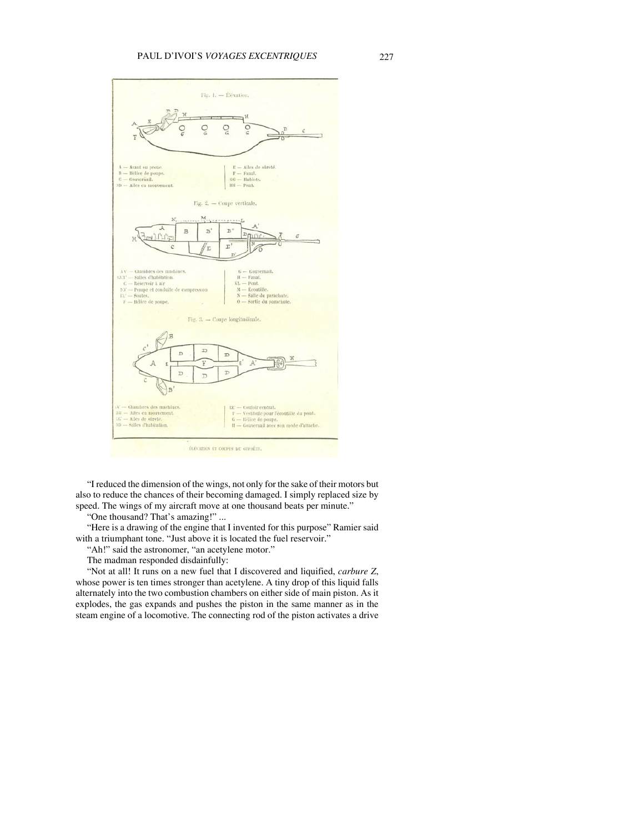

"I reduced the dimension of the wings, not only for the sake of their motors but also to reduce the chances of their becoming damaged. I simply replaced size by speed. The wings of my aircraft move at one thousand beats per minute."

"One thousand? That's amazing!" ...

"Here is a drawing of the engine that I invented for this purpose" Ramier said with a triumphant tone. "Just above it is located the fuel reservoir."

"Ah!" said the astronomer, "an acetylene motor."

The madman responded disdainfully:

"Not at all! It runs on a new fuel that I discovered and liquified, *carbure Z*, whose power is ten times stronger than acetylene. A tiny drop of this liquid falls alternately into the two combustion chambers on either side of main piston. As it explodes, the gas expands and pushes the piston in the same manner as in the steam engine of a locomotive. The connecting rod of the piston activates a drive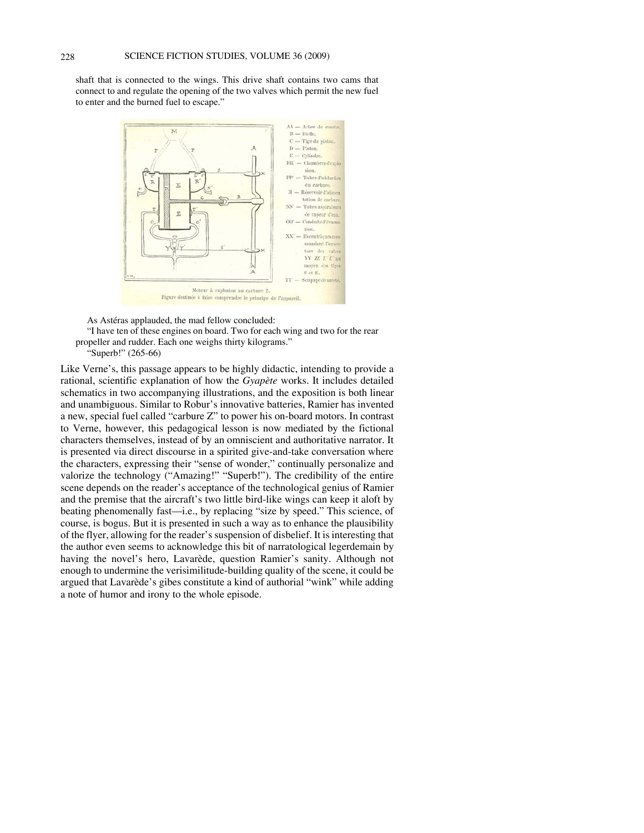shaft that is connected to the wings. This drive shaft contains two cams that connect to and regulate the opening of the two valves which permit the new fuel to enter and the burned fuel to escape."



As Astéras applauded, the mad fellow concluded:

"I have ten of these engines on board. Two for each wing and two for the rear propeller and rudder. Each one weighs thirty kilograms."



Like Verne's, this passage appears to be highly didactic, intending to provide a rational, scientific explanation of how the *Gyapète* works. It includes detailed schematics in two accompanying illustrations, and the exposition is both linear and unambiguous. Similar to Robur's innovative batteries, Ramier has invented a new, special fuel called "carbure Z" to power his on-board motors. In contrast to Verne, however, this pedagogical lesson is now mediated by the fictional characters themselves, instead of by an omniscient and authoritative narrator. It is presented via direct discourse in a spirited give-and-take conversation where the characters, expressing their "sense of wonder," continually personalize and valorize the technology ("Amazing!" "Superb!"). The credibility of the entire scene depends on the reader's acceptance of the technological genius of Ramier and the premise that the aircraft's two little bird-like wings can keep it aloft by beating phenomenally fast—i.e., by replacing "size by speed." This science, of course, is bogus. But it is presented in such a way as to enhance the plausibility of the flyer, allowing for the reader's suspension of disbelief. It is interesting that the author even seems to acknowledge this bit of narratological legerdemain by having the novel's hero, Lavarède, question Ramier's sanity. Although not enough to undermine the verisimilitude-building quality of the scene, it could be argued that Lavarède's gibes constitute a kind of authorial "wink" while adding a note of humor and irony to the whole episode.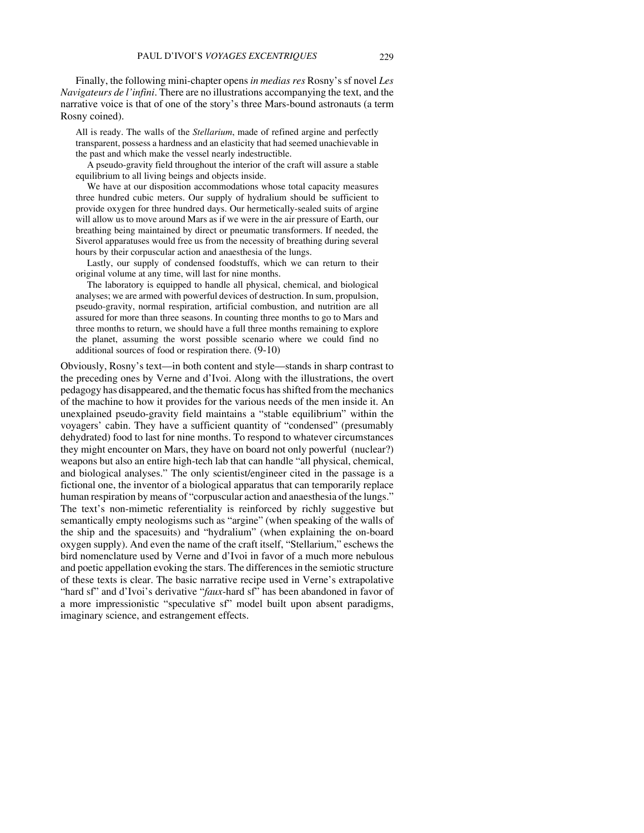Finally, the following mini-chapter opens *in medias res* Rosny's sf novel *Les Navigateurs de l'infini*. There are no illustrations accompanying the text, and the narrative voice is that of one of the story's three Mars-bound astronauts (a term Rosny coined).

All is ready. The walls of the *Stellarium*, made of refined argine and perfectly transparent, possess a hardness and an elasticity that had seemed unachievable in the past and which make the vessel nearly indestructible.

A pseudo-gravity field throughout the interior of the craft will assure a stable equilibrium to all living beings and objects inside.

We have at our disposition accommodations whose total capacity measures three hundred cubic meters. Our supply of hydralium should be sufficient to provide oxygen for three hundred days. Our hermetically-sealed suits of argine will allow us to move around Mars as if we were in the air pressure of Earth, our breathing being maintained by direct or pneumatic transformers. If needed, the Siverol apparatuses would free us from the necessity of breathing during several hours by their corpuscular action and anaesthesia of the lungs.

Lastly, our supply of condensed foodstuffs, which we can return to their original volume at any time, will last for nine months.

The laboratory is equipped to handle all physical, chemical, and biological analyses; we are armed with powerful devices of destruction. In sum, propulsion, pseudo-gravity, normal respiration, artificial combustion, and nutrition are all assured for more than three seasons. In counting three months to go to Mars and three months to return, we should have a full three months remaining to explore the planet, assuming the worst possible scenario where we could find no additional sources of food or respiration there. (9-10)

Obviously, Rosny's text—in both content and style—stands in sharp contrast to the preceding ones by Verne and d'Ivoi. Along with the illustrations, the overt pedagogy has disappeared, and the thematic focus has shifted from the mechanics of the machine to how it provides for the various needs of the men inside it. An unexplained pseudo-gravity field maintains a "stable equilibrium" within the voyagers' cabin. They have a sufficient quantity of "condensed" (presumably dehydrated) food to last for nine months. To respond to whatever circumstances they might encounter on Mars, they have on board not only powerful (nuclear?) weapons but also an entire high-tech lab that can handle "all physical, chemical, and biological analyses." The only scientist/engineer cited in the passage is a fictional one, the inventor of a biological apparatus that can temporarily replace human respiration by means of "corpuscular action and anaesthesia of the lungs." The text's non-mimetic referentiality is reinforced by richly suggestive but semantically empty neologisms such as "argine" (when speaking of the walls of the ship and the spacesuits) and "hydralium" (when explaining the on-board oxygen supply). And even the name of the craft itself, "Stellarium," eschews the bird nomenclature used by Verne and d'Ivoi in favor of a much more nebulous and poetic appellation evoking the stars. The differences in the semiotic structure of these texts is clear. The basic narrative recipe used in Verne's extrapolative "hard sf" and d'Ivoi's derivative "*faux*-hard sf" has been abandoned in favor of a more impressionistic "speculative sf" model built upon absent paradigms, imaginary science, and estrangement effects.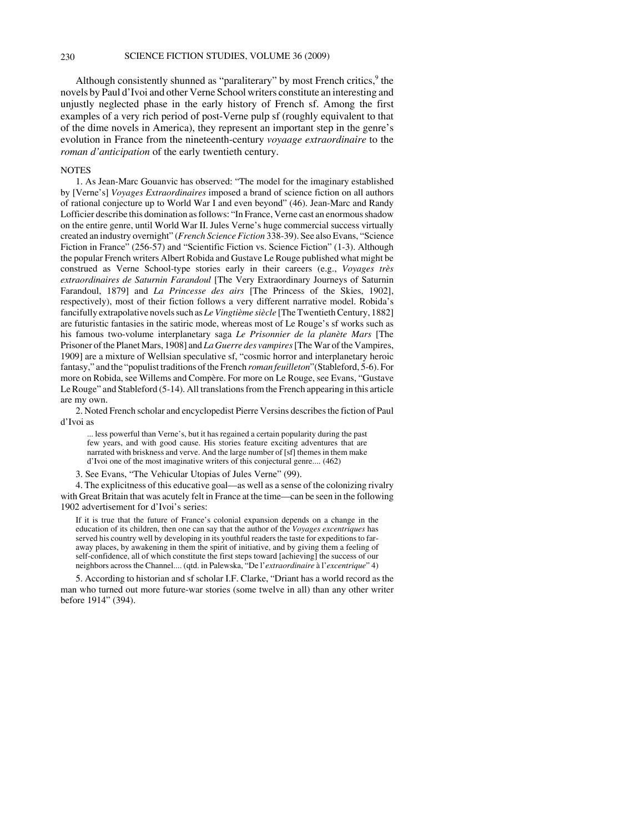Although consistently shunned as "paraliterary" by most French critics,<sup>9</sup> the novels by Paul d'Ivoi and other Verne School writers constitute an interesting and unjustly neglected phase in the early history of French sf. Among the first examples of a very rich period of post-Verne pulp sf (roughly equivalent to that of the dime novels in America), they represent an important step in the genre's evolution in France from the nineteenth-century *voyaage extraordinaire* to the *roman d'anticipation* of the early twentieth century.

## **NOTES**

1. As Jean-Marc Gouanvic has observed: "The model for the imaginary established by [Verne's] *Voyages Extraordinaires* imposed a brand of science fiction on all authors of rational conjecture up to World War I and even beyond" (46). Jean-Marc and Randy Lofficier describe this domination as follows: "In France, Verne cast an enormous shadow on the entire genre, until World War II. Jules Verne's huge commercial success virtually created an industry overnight" (*French Science Fiction* 338-39). See also Evans, "Science Fiction in France" (256-57) and "Scientific Fiction vs. Science Fiction" (1-3). Although the popular French writers Albert Robida and Gustave Le Rouge published what might be construed as Verne School-type stories early in their careers (e.g., *Voyages très extraordinaires de Saturnin Farandoul* [The Very Extraordinary Journeys of Saturnin Farandoul, 1879] and *La Princesse des airs* [The Princess of the Skies, 1902], respectively), most of their fiction follows a very different narrative model. Robida's fancifully extrapolative novels such as *Le Vingtième siècle* [The Twentieth Century, 1882] are futuristic fantasies in the satiric mode, whereas most of Le Rouge's sf works such as his famous two-volume interplanetary saga *Le Prisonnier de la planète Mars* [The Prisoner of the Planet Mars, 1908] and *La Guerre des vampires* [The War of the Vampires, 1909] are a mixture of Wellsian speculative sf, "cosmic horror and interplanetary heroic fantasy," and the "populist traditions of the French *roman feuilleton*"(Stableford, 5-6). For more on Robida, see Willems and Compère. For more on Le Rouge, see Evans, "Gustave Le Rouge" and Stableford (5-14). All translations from the French appearing in this article are my own.

2. Noted French scholar and encyclopedist Pierre Versins describes the fiction of Paul d'Ivoi as

... less powerful than Verne's, but it has regained a certain popularity during the past few years, and with good cause. His stories feature exciting adventures that are narrated with briskness and verve. And the large number of [sf] themes in them make d'Ivoi one of the most imaginative writers of this conjectural genre.... (462)

3. See Evans, "The Vehicular Utopias of Jules Verne" (99).

4. The explicitness of this educative goal—as well as a sense of the colonizing rivalry with Great Britain that was acutely felt in France at the time—can be seen in the following 1902 advertisement for d'Ivoi's series:

If it is true that the future of France's colonial expansion depends on a change in the education of its children, then one can say that the author of the *Voyages excentriques* has served his country well by developing in its youthful readers the taste for expeditions to faraway places, by awakening in them the spirit of initiative, and by giving them a feeling of self-confidence, all of which constitute the first steps toward [achieving] the success of our neighbors across the Channel.... (qtd. in Palewska, "De l'*extraordinaire* à l'*excentrique*" 4)

5. According to historian and sf scholar I.F. Clarke, "Driant has a world record as the man who turned out more future-war stories (some twelve in all) than any other writer before 1914" (394).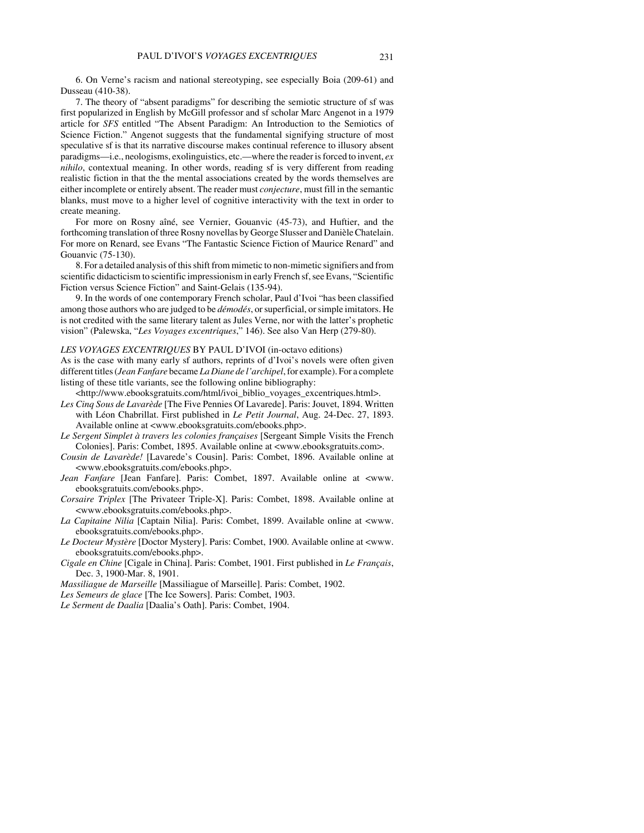6. On Verne's racism and national stereotyping, see especially Boia (209-61) and Dusseau (410-38).

7. The theory of "absent paradigms" for describing the semiotic structure of sf was first popularized in English by McGill professor and sf scholar Marc Angenot in a 1979 article for *SFS* entitled "The Absent Paradigm: An Introduction to the Semiotics of Science Fiction." Angenot suggests that the fundamental signifying structure of most speculative sf is that its narrative discourse makes continual reference to illusory absent paradigms—i.e., neologisms, exolinguistics, etc.—where the reader is forced to invent, *ex nihilo*, contextual meaning. In other words, reading sf is very different from reading realistic fiction in that the the mental associations created by the words themselves are either incomplete or entirely absent. The reader must *conjecture*, must fill in the semantic blanks, must move to a higher level of cognitive interactivity with the text in order to create meaning.

For more on Rosny aîné, see Vernier, Gouanvic (45-73), and Huftier, and the forthcoming translation of three Rosny novellas by George Slusser and Danièle Chatelain. For more on Renard, see Evans "The Fantastic Science Fiction of Maurice Renard" and Gouanvic (75-130).

8. For a detailed analysis of this shift from mimetic to non-mimetic signifiers and from scientific didacticism to scientific impressionism in early French sf, see Evans, "Scientific Fiction versus Science Fiction" and Saint-Gelais (135-94).

9. In the words of one contemporary French scholar, Paul d'Ivoi "has been classified among those authors who are judged to be *démodés*, or superficial, or simple imitators. He is not credited with the same literary talent as Jules Verne, nor with the latter's prophetic vision" (Palewska, "*Les Voyages excentriques*," 146). See also Van Herp (279-80).

### *LES VOYAGES EXCENTRIQUES* BY PAUL D'IVOI (in-octavo editions)

As is the case with many early sf authors, reprints of d'Ivoi's novels were often given different titles (*Jean Fanfare* became *La Diane de l'archipel*, for example). For a complete listing of these title variants, see the following online bibliography:

<http://www.ebooksgratuits.com/html/ivoi\_biblio\_voyages\_excentriques.html>.

*Les Cinq Sous de Lavarède* [The Five Pennies Of Lavarede]. Paris: Jouvet, 1894. Written with Léon Chabrillat. First published in *Le Petit Journal*, Aug. 24-Dec. 27, 1893. Available online at <www.ebooksgratuits.com/ebooks.php>.

*Le Sergent Simplet à travers les colonies françaises* [Sergeant Simple Visits the French Colonies]. Paris: Combet, 1895. Available online at <www.ebooksgratuits.com>.

*Cousin de Lavarède!* [Lavarede's Cousin]. Paris: Combet, 1896. Available online at <www.ebooksgratuits.com/ebooks.php>.

*Jean Fanfare* [Jean Fanfare]. Paris: Combet, 1897. Available online at <www. ebooksgratuits.com/ebooks.php>.

*Corsaire Triplex* [The Privateer Triple-X]. Paris: Combet, 1898. Available online at <www.ebooksgratuits.com/ebooks.php>.

*La Capitaine Nilia* [Captain Nilia]. Paris: Combet, 1899. Available online at <www. ebooksgratuits.com/ebooks.php>.

*Le Docteur Mystère* [Doctor Mystery]. Paris: Combet, 1900. Available online at <www. ebooksgratuits.com/ebooks.php>.

*Cigale en Chine* [Cigale in China]. Paris: Combet, 1901. First published in *Le Français*, Dec. 3, 1900-Mar. 8, 1901.

*Massiliague de Marseille* [Massiliague of Marseille]. Paris: Combet, 1902.

*Les Semeurs de glace* [The Ice Sowers]. Paris: Combet, 1903.

*Le Serment de Daalia* [Daalia's Oath]. Paris: Combet, 1904.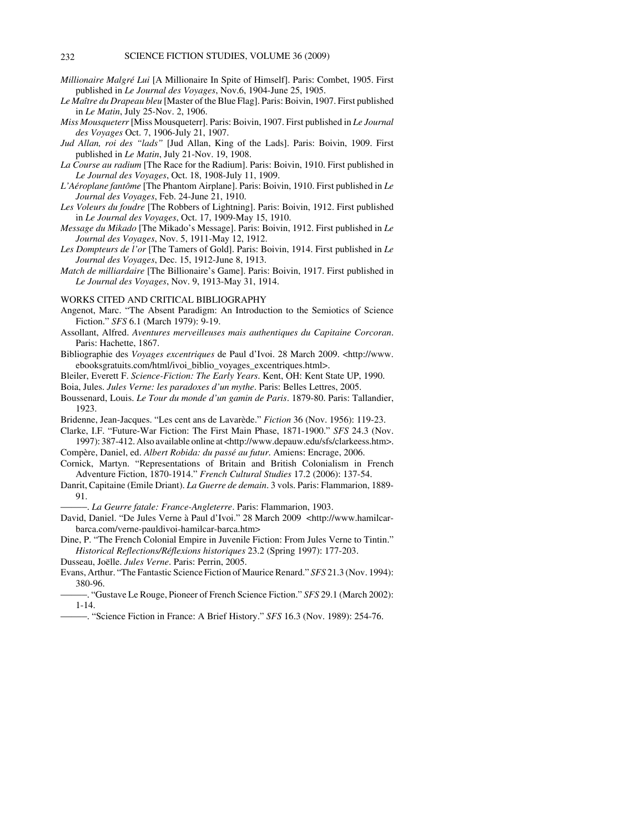- *Millionaire Malgré Lui* [A Millionaire In Spite of Himself]. Paris: Combet, 1905. First published in *Le Journal des Voyages*, Nov.6, 1904-June 25, 1905.
- *Le Maître du Drapeau bleu* [Master of the Blue Flag]. Paris: Boivin, 1907. First published in *Le Matin*, July 25-Nov. 2, 1906.
- *Miss Mousqueterr* [Miss Mousqueterr]. Paris: Boivin, 1907. First published in *Le Journal des Voyages* Oct. 7, 1906-July 21, 1907.
- *Jud Allan, roi des "lads"* [Jud Allan, King of the Lads]. Paris: Boivin, 1909. First published in *Le Matin*, July 21-Nov. 19, 1908.
- *La Course au radium* [The Race for the Radium]. Paris: Boivin, 1910. First published in *Le Journal des Voyages*, Oct. 18, 1908-July 11, 1909.
- *L'Aéroplane fantôme* [The Phantom Airplane]. Paris: Boivin, 1910. First published in *Le Journal des Voyages*, Feb. 24-June 21, 1910.
- *Les Voleurs du foudre* [The Robbers of Lightning]. Paris: Boivin, 1912. First published in *Le Journal des Voyages*, Oct. 17, 1909-May 15, 1910.
- *Message du Mikado* [The Mikado's Message]. Paris: Boivin, 1912. First published in *Le Journal des Voyages*, Nov. 5, 1911-May 12, 1912.
- *Les Dompteurs de l'or* [The Tamers of Gold]. Paris: Boivin, 1914. First published in *Le Journal des Voyages*, Dec. 15, 1912-June 8, 1913.
- *Match de milliardaire* [The Billionaire's Game]. Paris: Boivin, 1917. First published in *Le Journal des Voyages*, Nov. 9, 1913-May 31, 1914.

WORKS CITED AND CRITICAL BIBLIOGRAPHY

- Angenot, Marc. "The Absent Paradigm: An Introduction to the Semiotics of Science Fiction." *SFS* 6.1 (March 1979): 9-19.
- Assollant, Alfred. *Aventures merveilleuses mais authentiques du Capitaine Corcoran*. Paris: Hachette, 1867.
- Bibliographie des *Voyages excentriques* de Paul d'Ivoi. 28 March 2009. <http://www. ebooksgratuits.com/html/ivoi\_biblio\_voyages\_excentriques.html>.
- Bleiler, Everett F. *Science-Fiction: The Early Years*. Kent, OH: Kent State UP, 1990.

Boia, Jules. *Jules Verne: les paradoxes d'un mythe*. Paris: Belles Lettres, 2005.

- Boussenard, Louis. *Le Tour du monde d'un gamin de Paris*. 1879-80. Paris: Tallandier, 1923.
- Bridenne, Jean-Jacques. "Les cent ans de Lavarède." *Fiction* 36 (Nov. 1956): 119-23.
- Clarke, I.F. "Future-War Fiction: The First Main Phase, 1871-1900." *SFS* 24.3 (Nov. 1997): 387-412. Also available online at <http://www.depauw.edu/sfs/clarkeess.htm>.
- Compère, Daniel, ed. *Albert Robida: du passé au futur*. Amiens: Encrage, 2006.
- Cornick, Martyn. "Representations of Britain and British Colonialism in French Adventure Fiction, 1870-1914." *French Cultural Studies* 17.2 (2006): 137-54.
- Danrit, Capitaine (Emile Driant). *La Guerre de demain*. 3 vols. Paris: Flammarion, 1889- 91.

))))). *La Geurre fatale: France-Angleterre*. Paris: Flammarion, 1903.

David, Daniel. "De Jules Verne à Paul d'Ivoi." 28 March 2009 <http://www.hamilcarbarca.com/verne-pauldivoi-hamilcar-barca.htm>

Dine, P. "The French Colonial Empire in Juvenile Fiction: From Jules Verne to Tintin." *Historical Reflections/Réflexions historiques* 23.2 (Spring 1997): 177-203.

- Dusseau, Joëlle. *Jules Verne*. Paris: Perrin, 2005.
- Evans, Arthur. "The Fantastic Science Fiction of Maurice Renard." *SFS* 21.3 (Nov. 1994): 380-96.
- ))))). "Gustave Le Rouge, Pioneer of French Science Fiction." *SFS* 29.1 (March 2002): 1-14.
- ))))). "Science Fiction in France: A Brief History." *SFS* 16.3 (Nov. 1989): 254-76.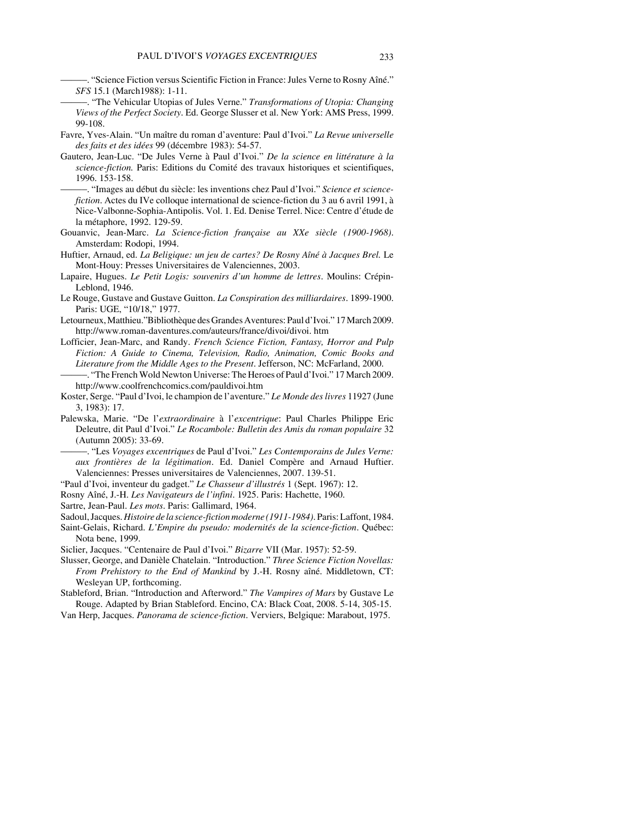- ))))). "Science Fiction versus Scientific Fiction in France: Jules Verne to Rosny Aîné." *SFS* 15.1 (March1988): 1-11.
- ))))). "The Vehicular Utopias of Jules Verne." *Transformations of Utopia: Changing Views of the Perfect Society*. Ed. George Slusser et al. New York: AMS Press, 1999. 99-108.
- Favre, Yves-Alain. "Un maître du roman d'aventure: Paul d'Ivoi." *La Revue universelle des faits et des idées* 99 (décembre 1983): 54-57.
- Gautero, Jean-Luc. "De Jules Verne à Paul d'Ivoi." *De la science en littérature à la science-fiction.* Paris: Editions du Comité des travaux historiques et scientifiques, 1996. 153-158.
	- ))))). "Images au début du siècle: les inventions chez Paul d'Ivoi." *Science et sciencefiction*. Actes du IVe colloque international de science-fiction du 3 au 6 avril 1991, à Nice-Valbonne-Sophia-Antipolis. Vol. 1. Ed. Denise Terrel. Nice: Centre d'étude de la métaphore, 1992. 129-59.
- Gouanvic, Jean-Marc. *La Science-fiction française au XXe siècle (1900-1968)*. Amsterdam: Rodopi, 1994.
- Huftier, Arnaud, ed. *La Beligique: un jeu de cartes? De Rosny Aîné à Jacques Brel.* Le Mont-Houy: Presses Universitaires de Valenciennes, 2003.
- Lapaire, Hugues. *Le Petit Logis: souvenirs d'un homme de lettres*. Moulins: Crépin-Leblond, 1946.
- Le Rouge, Gustave and Gustave Guitton. *La Conspiration des milliardaires*. 1899-1900. Paris: UGE, "10/18," 1977.
- Letourneux, Matthieu."Bibliothèque des Grandes Aventures: Paul d'Ivoi." 17 March 2009. http://www.roman-daventures.com/auteurs/france/divoi/divoi. htm
- Lofficier, Jean-Marc, and Randy. *French Science Fiction, Fantasy, Horror and Pulp Fiction: A Guide to Cinema, Television, Radio, Animation, Comic Books and Literature from the Middle Ages to the Present*. Jefferson, NC: McFarland, 2000. ))))). "The French Wold Newton Universe: The Heroes of Paul d'Ivoi." 17 March 2009.
- http://www.coolfrenchcomics.com/pauldivoi.htm Koster, Serge. "Paul d'Ivoi, le champion de l'aventure." *Le Monde des livres* 11927 (June
- 3, 1983): 17.
- Palewska, Marie. "De l'*extraordinaire* à l'*excentrique*: Paul Charles Philippe Eric Deleutre, dit Paul d'Ivoi." *Le Rocambole: Bulletin des Amis du roman populaire* 32 (Autumn 2005): 33-69.
- ))))). "Les *Voyages excentriques* de Paul d'Ivoi." *Les Contemporains de Jules Verne: aux frontières de la légitimation*. Ed. Daniel Compère and Arnaud Huftier. Valenciennes: Presses universitaires de Valenciennes, 2007. 139-51.
- "Paul d'Ivoi, inventeur du gadget." *Le Chasseur d'illustrés* 1 (Sept. 1967): 12.
- Rosny Aîné, J.-H. *Les Navigateurs de l'infini*. 1925. Paris: Hachette, 1960.
- Sartre, Jean-Paul. *Les mots*. Paris: Gallimard, 1964.
- Sadoul, Jacques. *Histoire de la science-fiction moderne (1911-1984)*. Paris: Laffont, 1984.
- Saint-Gelais, Richard. *L'Empire du pseudo: modernités de la science-fiction*. Québec: Nota bene, 1999.
- Siclier, Jacques. "Centenaire de Paul d'Ivoi." *Bizarre* VII (Mar. 1957): 52-59.
- Slusser, George, and Danièle Chatelain. "Introduction." *Three Science Fiction Novellas: From Prehistory to the End of Mankind* by J.-H. Rosny aîné. Middletown, CT: Wesleyan UP, forthcoming.
- Stableford, Brian. "Introduction and Afterword." *The Vampires of Mars* by Gustave Le Rouge. Adapted by Brian Stableford. Encino, CA: Black Coat, 2008. 5-14, 305-15.
- Van Herp, Jacques. *Panorama de science-fiction*. Verviers, Belgique: Marabout, 1975.